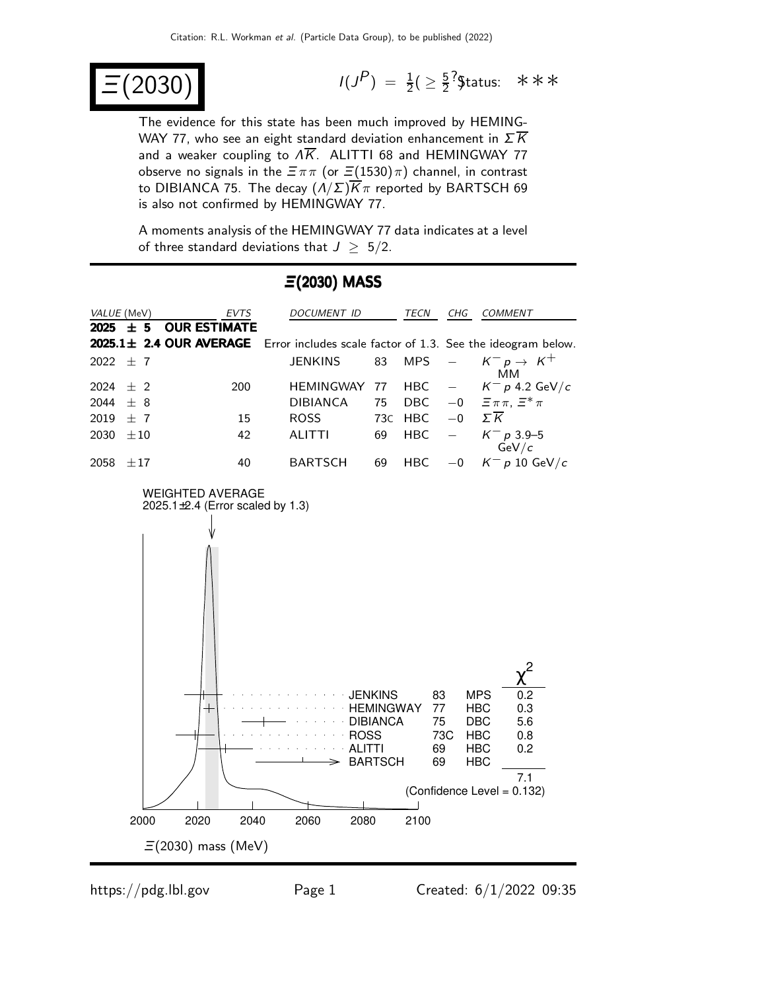$$
\Xi(2030) \qquad \qquad
$$

 $P$ ) =  $\frac{1}{2}$ (  $\geq \frac{5}{2}$  $\frac{5}{2}$  ?\$tatus: ∗∗∗

The evidence for this state has been much improved by HEMING-WAY 77, who see an eight standard deviation enhancement in  $\Sigma \overline{K}$ and a weaker coupling to  $\overline{AK}$ . ALITTI 68 and HEMINGWAY 77 observe no signals in the  $\Xi \pi \pi$  (or  $\Xi(1530)\pi$ ) channel, in contrast to DIBIANCA 75. The decay  $(A/\Sigma)\overline{K}\pi$  reported by BARTSCH 69 is also not confirmed by HEMINGWAY 77.

A moments analysis of the HEMINGWAY 77 data indicates at a level of three standard deviations that  $J \geq 5/2$ .



#### Ξ(2030) MASS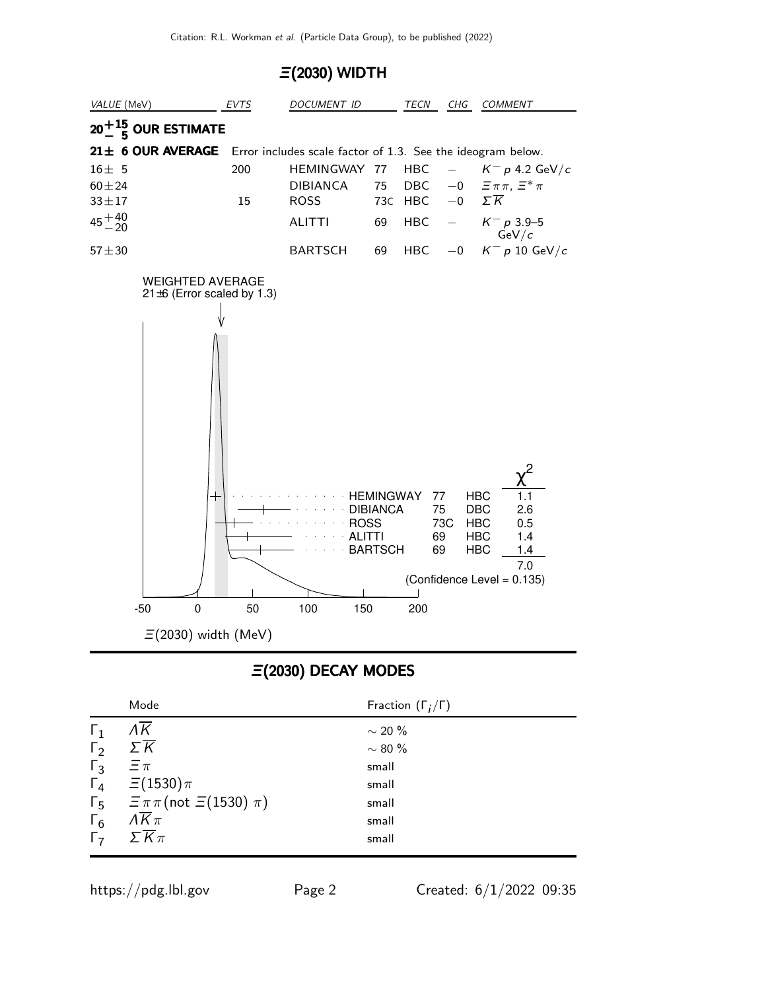#### Ξ(2030) WIDTH



### Ξ(2030) DECAY MODES

|            | Mode                                                         | Fraction $(\Gamma_i/\Gamma)$ |
|------------|--------------------------------------------------------------|------------------------------|
| $\Gamma_1$ | $\Lambda \overline{\mathsf{K}}$                              | $\sim$ 20 %                  |
| $\Gamma_2$ | $\Sigma \overline{K}$                                        | $\sim$ 80 %                  |
| $\Gamma_3$ | $\Xi \pi$                                                    | small                        |
|            | $\Gamma_4 \quad \Xi(1530)\pi$                                | small                        |
|            | $\Gamma_5 = \overline{\pi} \pi \text{ (not } \Xi(1530) \pi)$ | small                        |
| $\Gamma_6$ | $\overline{\Lambda K}\pi$                                    | small                        |
| $\Gamma$   | $\Sigma \overline{K} \pi$                                    | small                        |
|            |                                                              |                              |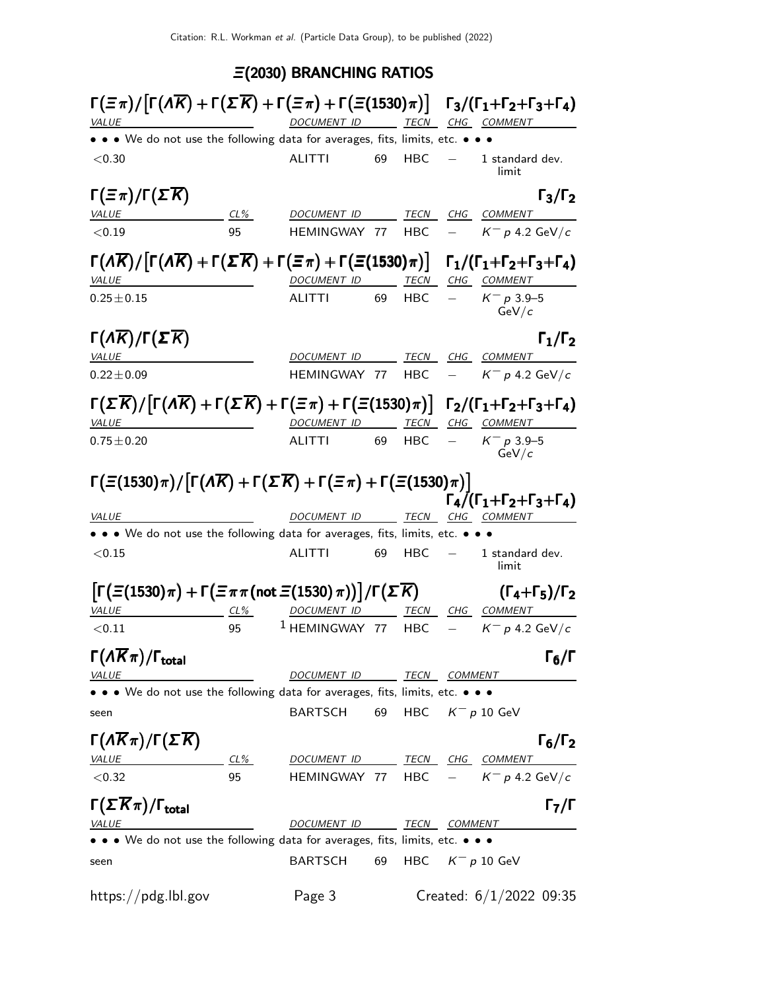# Ξ(2030) BRANCHING RATIOS

| <i>VALUE</i>                                                                                                                                                                              | $\Gamma(\Xi \pi)/[\Gamma(A\overline{K}) + \Gamma(\Sigma \overline{K}) + \Gamma(\Xi \pi) + \Gamma(\Xi(1530)\pi)] \Gamma_3/(\Gamma_1+\Gamma_2+\Gamma_3+\Gamma_4)$<br>DOCUMENT ID TECN CHG COMMENT |                                            |    |                           |  |                                                                              |
|-------------------------------------------------------------------------------------------------------------------------------------------------------------------------------------------|-------------------------------------------------------------------------------------------------------------------------------------------------------------------------------------------------|--------------------------------------------|----|---------------------------|--|------------------------------------------------------------------------------|
| • • We do not use the following data for averages, fits, limits, etc. • • •                                                                                                               | <u> 1980 - Johann Barbara, martin a</u>                                                                                                                                                         |                                            |    |                           |  |                                                                              |
| < 0.30                                                                                                                                                                                    |                                                                                                                                                                                                 | <b>ALITTI</b>                              | 69 | HBC                       |  | 1 standard dev.<br>limit                                                     |
| $\Gamma(\Xi \pi)/\Gamma(\Sigma \overline{K})$                                                                                                                                             |                                                                                                                                                                                                 |                                            |    |                           |  | $\Gamma_3/\Gamma_2$                                                          |
| <b>VALUE</b>                                                                                                                                                                              | $CL\%$                                                                                                                                                                                          | DOCUMENT ID                                |    |                           |  | TECN CHG COMMENT                                                             |
| < 0.19                                                                                                                                                                                    | 95                                                                                                                                                                                              | HEMINGWAY 77                               |    | HBC                       |  | $K^- p 4.2 \text{ GeV}/c$                                                    |
| $\Gamma(A\overline{K})/\lceil\Gamma(A\overline{K})+\Gamma(\Sigma\overline{K})+\Gamma(\Xi\pi)+\Gamma(\Xi(1530)\pi)\rceil$ $\Gamma_1/(\Gamma_1+\Gamma_2+\Gamma_3+\Gamma_4)$<br><b>VALUE</b> |                                                                                                                                                                                                 | DOCUMENT ID TECN CHG COMMENT               |    |                           |  |                                                                              |
| $0.25 \pm 0.15$                                                                                                                                                                           |                                                                                                                                                                                                 | ALITTI                                     | 69 | HBC.                      |  | $K^- p 3.9 - 5$<br>GeV/c                                                     |
| $\Gamma(\Lambda \overline{K})/\Gamma(\Sigma \overline{K})$                                                                                                                                |                                                                                                                                                                                                 |                                            |    |                           |  | $\Gamma_1/\Gamma_2$                                                          |
| <b>VALUE</b>                                                                                                                                                                              |                                                                                                                                                                                                 | <i>DOCUMENT ID</i>                         |    |                           |  | TECN CHG COMMENT                                                             |
| $0.22 \pm 0.09$                                                                                                                                                                           |                                                                                                                                                                                                 | HEMINGWAY 77                               |    | HBC                       |  | $K^- p$ 4.2 GeV/c                                                            |
| $\Gamma(\Sigma \overline{K})/[\Gamma(\Lambda \overline{K}) + \Gamma(\Sigma \overline{K}) + \Gamma(\Xi \pi) + \Gamma(\Xi(1530)\pi)] \Gamma_2/(\Gamma_1 + \Gamma_2 + \Gamma_3 + \Gamma_4)$  |                                                                                                                                                                                                 |                                            |    |                           |  |                                                                              |
| <i>VALUE</i>                                                                                                                                                                              |                                                                                                                                                                                                 | DOCUMENT ID TECN CHG COMMENT               |    |                           |  |                                                                              |
| $0.75 \pm 0.20$                                                                                                                                                                           |                                                                                                                                                                                                 | ALITTI                                     | 69 | HBC.                      |  | $K^- p 3.9 - 5$<br>GeV/c                                                     |
| $\Gamma(\Xi(1530)\pi)/[\Gamma(\Lambda\overline{K})+\Gamma(\Sigma\overline{K})+\Gamma(\Xi\pi)+\Gamma(\Xi(1530)\pi)]$<br><i>VALUE</i>                                                       |                                                                                                                                                                                                 | DOCUMENT ID                                |    |                           |  | $\Gamma_4/(\Gamma_1+\Gamma_2+\Gamma_3+\Gamma_4)$<br>TE <u>CN CHG COMMENT</u> |
| • • We do not use the following data for averages, fits, limits, etc. • • •                                                                                                               |                                                                                                                                                                                                 |                                            |    |                           |  |                                                                              |
| < 0.15                                                                                                                                                                                    |                                                                                                                                                                                                 | <b>ALITTI</b>                              | 69 | HBC.                      |  | 1 standard dev.<br>limit                                                     |
| $\big[\Gamma\big(\Xi(1530)\pi\big)+\Gamma\big(\Xi\pi\pi({\mathsf{not}}~\Xi(1530)\,\pi)\big)\big]/\Gamma\big(\varSigma\,\overline{K}\big)$                                                 |                                                                                                                                                                                                 |                                            |    |                           |  | $(\Gamma_4 + \Gamma_5)/\Gamma_2$                                             |
| <b>VALUE</b>                                                                                                                                                                              | $CL\%$                                                                                                                                                                                          | DOCUMENT ID TECN CHG COMMENT               |    |                           |  |                                                                              |
| < 0.11                                                                                                                                                                                    | 95                                                                                                                                                                                              | <sup>1</sup> HEMINGWAY 77                  |    | <b>HBC</b>                |  | $K^-$ p 4.2 GeV/c                                                            |
| $\Gamma(\Lambda \overline{K}\pi)/\Gamma_{\rm total}$                                                                                                                                      |                                                                                                                                                                                                 |                                            |    |                           |  | $\Gamma_6/\Gamma$                                                            |
| <i>VALUE</i>                                                                                                                                                                              |                                                                                                                                                                                                 | DOCUMENT ID TECN COMMENT                   |    |                           |  |                                                                              |
| • • • We do not use the following data for averages, fits, limits, etc. • • •                                                                                                             |                                                                                                                                                                                                 |                                            |    |                           |  |                                                                              |
| seen                                                                                                                                                                                      |                                                                                                                                                                                                 | <b>BARTSCH</b>                             |    |                           |  | 69 HBC $K^- p 10$ GeV                                                        |
| $\Gamma(\Lambda \overline{K}\pi)/\Gamma(\Sigma \overline{K})$<br>$CL\%$<br><b>VALUE</b>                                                                                                   |                                                                                                                                                                                                 | DOCUMENT ID ______ TECN ___ CHG __ COMMENT |    |                           |  | $\Gamma_6/\Gamma_2$                                                          |
| < 0.32                                                                                                                                                                                    | 95                                                                                                                                                                                              |                                            |    |                           |  | HEMINGWAY 77 HBC $-$ K <sup>-</sup> p 4.2 GeV/c                              |
|                                                                                                                                                                                           |                                                                                                                                                                                                 |                                            |    |                           |  |                                                                              |
| $\Gamma(\Sigma \overline{K}\pi)/\Gamma_{\text{total}}$<br><i>VALUE</i>                                                                                                                    |                                                                                                                                                                                                 | DOCUMENT ID TECN COMMENT                   |    |                           |  | $\Gamma_7/\Gamma$                                                            |
| • • We do not use the following data for averages, fits, limits, etc. • • •                                                                                                               |                                                                                                                                                                                                 |                                            |    |                           |  |                                                                              |
| seen                                                                                                                                                                                      |                                                                                                                                                                                                 | BARTSCH                                    | 69 |                           |  | HBC $K^- p 10 \text{ GeV}$                                                   |
| https://pdg.lbl.gov                                                                                                                                                                       | Page 3                                                                                                                                                                                          |                                            |    | Created: $6/1/2022$ 09:35 |  |                                                                              |